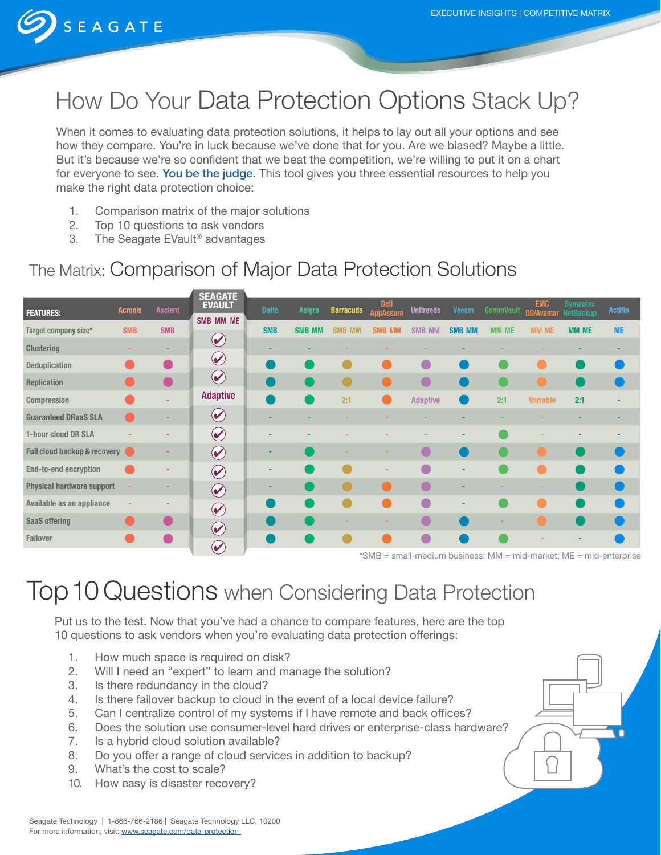

# How Do Your Data Protection Options Stack Up?

When it comes to evaluating data protection solutions, it helps to lay out all your options and see how they compare. You're in luck because we've done that for you. Are we biased? Maybe a little. But it's because we're so confident that we beat the competition, we're willing to put it on a chart for everyone to see. You be the judge. This tool gives you three essential resources to help you make the right data protection choice:

- 1. Comparison matrix of the major solutions
- 2. Top 10 questions to ask vendors
- 3. The Seagate EVault® advantages

## The Matrix: Comparison of Major Data Protection Solutions

|                                  |                |                | <b>SEAGATE</b>                    |              |               |                         |                                   |                  |                                         |                  |                                          |                 |                |
|----------------------------------|----------------|----------------|-----------------------------------|--------------|---------------|-------------------------|-----------------------------------|------------------|-----------------------------------------|------------------|------------------------------------------|-----------------|----------------|
| <b>FEATURES:</b>                 | <b>Acronis</b> | <b>Axcient</b> | <b>EVAULT</b><br>SMB MM ME        | <b>Datto</b> | Asigra        | <b>Barracuda</b>        | <b>Dell</b><br><b>AppAssure</b>   | <b>Unitrends</b> | <b>Veeam</b>                            | <b>CommVault</b> | <b>EMC</b><br><b>DD/Avamar NetBackup</b> | <b>Symantec</b> | <b>Actifio</b> |
| Target company size*             | <b>SMB</b>     | <b>SMB</b>     |                                   | <b>SMB</b>   | <b>SMB MM</b> | <b>SMB</b><br><b>MN</b> | <b>SMB MM</b>                     | <b>SMB MM</b>    | <b>SMB MM</b>                           | <b>MM ME</b>     | <b>MM ME</b>                             | <b>MM ME</b>    | <b>ME</b>      |
| <b>Clustering</b>                |                | ۰              | $\left(\blacktriangledown\right)$ |              |               |                         |                                   |                  |                                         |                  |                                          |                 |                |
| <b>Deduplication</b>             |                |                | $\bigcirc$                        |              |               |                         |                                   |                  |                                         |                  |                                          |                 |                |
| <b>Replication</b>               |                |                | $(\blacktriangleright)$           |              |               |                         |                                   |                  |                                         |                  |                                          |                 |                |
| <b>Compression</b>               |                |                | <b>Adaptive</b>                   |              |               | 2:1                     |                                   | <b>Adaptive</b>  |                                         | 2:1              | <b>Variable</b>                          | 2:1             |                |
| <b>Guaranteed DRaaS SLA</b>      |                |                | $\left(\blacktriangledown\right)$ |              |               |                         |                                   |                  |                                         |                  |                                          |                 |                |
| 1-hour cloud DR SLA              |                |                | $\left(\blacktriangledown\right)$ |              |               |                         |                                   |                  |                                         |                  |                                          |                 |                |
| Full cloud backup & recovery     |                |                | $\bigcirc$                        |              |               |                         |                                   |                  |                                         |                  |                                          |                 |                |
| <b>End-to-end encryption</b>     |                |                | $\odot$                           |              |               |                         |                                   |                  | ۰                                       |                  |                                          |                 |                |
| <b>Physical hardware support</b> |                |                | $\bigcirc$                        |              |               |                         |                                   |                  |                                         |                  |                                          |                 |                |
| Available as an appliance        |                |                | $\odot$                           |              |               |                         |                                   | $\sqrt{2}$       | ٠                                       |                  |                                          |                 |                |
| <b>SaaS offering</b>             |                |                | $\blacklozenge$                   |              |               |                         |                                   |                  |                                         |                  |                                          |                 |                |
| <b>Failover</b>                  |                |                |                                   |              |               |                         |                                   |                  |                                         |                  |                                          |                 |                |
|                                  |                |                | $\blacklozenge$                   |              |               |                         | $+$ $0.1$<br>and the state of the |                  | <b>CONTRACTOR CONTRACTOR CONTRACTOR</b> |                  | and the later and starts in A.R.C.       |                 |                |

\*SMB = small-medium business; MM = mid-market; ME = mid-enterprise

## Top 10 Questions when Considering Data Protection

Put us to the test. Now that you've had a chance to compare features, here are the top 10 questions to ask vendors when you're evaluating data protection offerings:

- 1. How much space is required on disk?
- 2. Will I need an "expert" to learn and manage the solution?
- 3. Is there redundancy in the cloud?
- 4. Is there failover backup to cloud in the event of a local device failure?
- 5. Can I centralize control of my systems if I have remote and back offices?
- 6. Does the solution use consumer-level hard drives or enterprise-class hardware?
- 7. Is a hybrid cloud solution available?
- 8. Do you offer a range of cloud services in addition to backup?
- 9. What's the cost to scale?
- 10. How easy is disaster recovery?